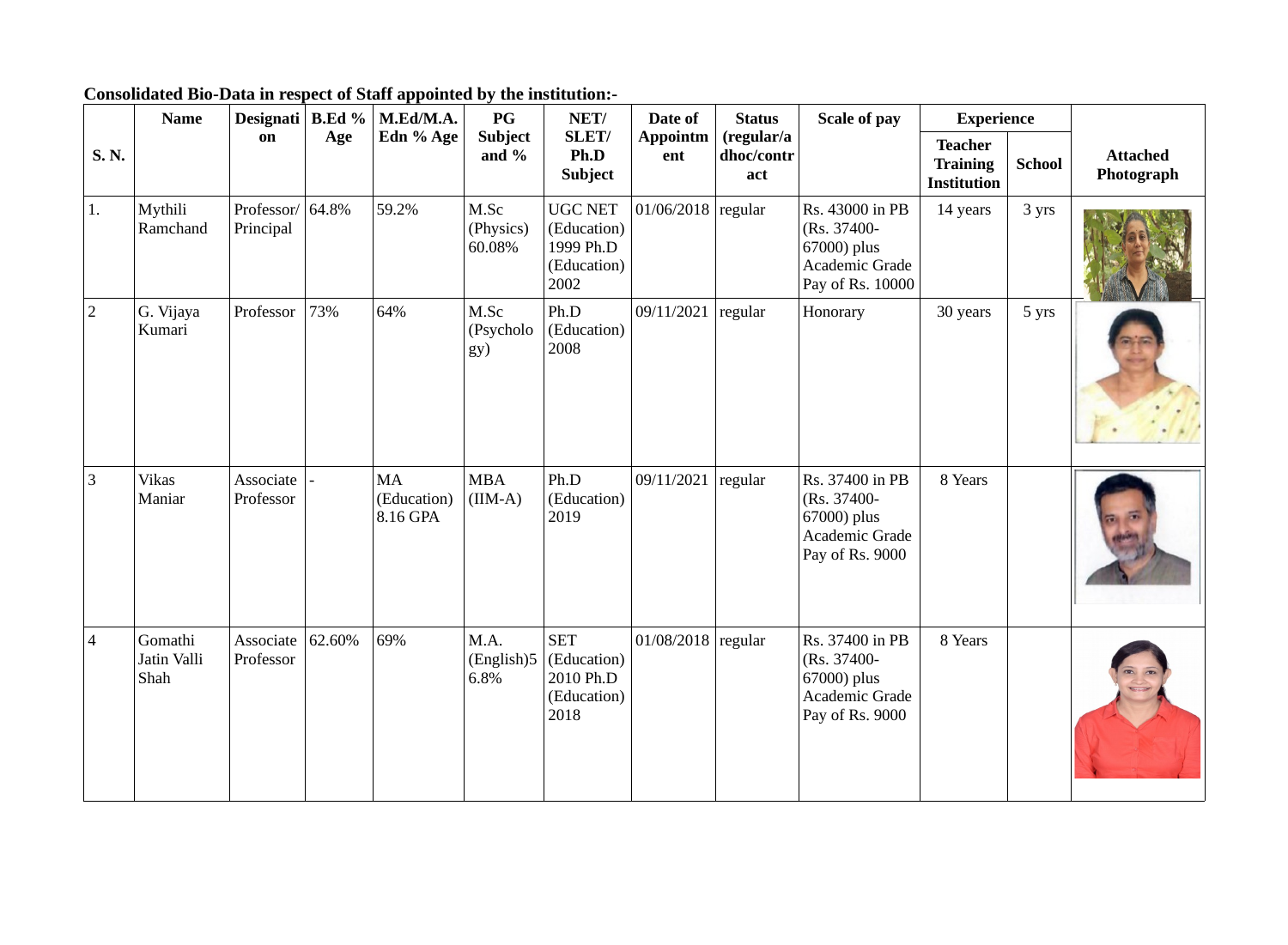|                | <b>Name</b>                    | Designati   B.Ed %            |        | M.Ed/M.A.                     | P G                         | NET/                                                              | Date of                | <b>Status</b>                   | <b>Scale of pay</b>                                                                 | <b>Experience</b>                                       |               |                               |
|----------------|--------------------------------|-------------------------------|--------|-------------------------------|-----------------------------|-------------------------------------------------------------------|------------------------|---------------------------------|-------------------------------------------------------------------------------------|---------------------------------------------------------|---------------|-------------------------------|
| S.N.           |                                | on                            | Age    | Edn % Age                     | <b>Subject</b><br>and $%$   | SLET/<br>Ph.D<br><b>Subject</b>                                   | <b>Appointm</b><br>ent | (regular/a<br>dhoc/contr<br>act |                                                                                     | <b>Teacher</b><br><b>Training</b><br><b>Institution</b> | <b>School</b> | <b>Attached</b><br>Photograph |
| 1.             | Mythili<br>Ramchand            | Professor/ 64.8%<br>Principal |        | 59.2%                         | M.Sc<br>(Physics)<br>60.08% | <b>UGC NET</b><br>(Education)<br>1999 Ph.D<br>(Education)<br>2002 | $01/06/2018$ regular   |                                 | Rs. 43000 in PB<br>(Rs. 37400-<br>67000) plus<br>Academic Grade<br>Pay of Rs. 10000 | 14 years                                                | 3 yrs         |                               |
| $\overline{2}$ | G. Vijaya<br>Kumari            | Professor                     | 73%    | 64%                           | M.Sc<br>(Psycholo<br>gy)    | Ph.D<br>(Education)<br>2008                                       | 09/11/2021             | regular                         | Honorary                                                                            | 30 years                                                | 5 yrs         |                               |
| 3              | <b>Vikas</b><br>Maniar         | Associate<br>Professor        |        | MA<br>(Education)<br>8.16 GPA | <b>MBA</b><br>$(IIM-A)$     | Ph.D<br>(Education)<br>2019                                       | 09/11/2021             | regular                         | Rs. 37400 in PB<br>(Rs. 37400-<br>67000) plus<br>Academic Grade<br>Pay of Rs. 9000  | 8 Years                                                 |               |                               |
| $\overline{4}$ | Gomathi<br>Jatin Valli<br>Shah | Associate<br>Professor        | 62.60% | 69%                           | M.A.<br>(English)5<br>6.8%  | <b>SET</b><br>(Education)<br>2010 Ph.D<br>(Education)<br>2018     | $01/08/2018$ regular   |                                 | Rs. 37400 in PB<br>(Rs. 37400-<br>67000) plus<br>Academic Grade<br>Pay of Rs. 9000  | 8 Years                                                 |               |                               |

**Consolidated Bio-Data in respect of Staff appointed by the institution:-**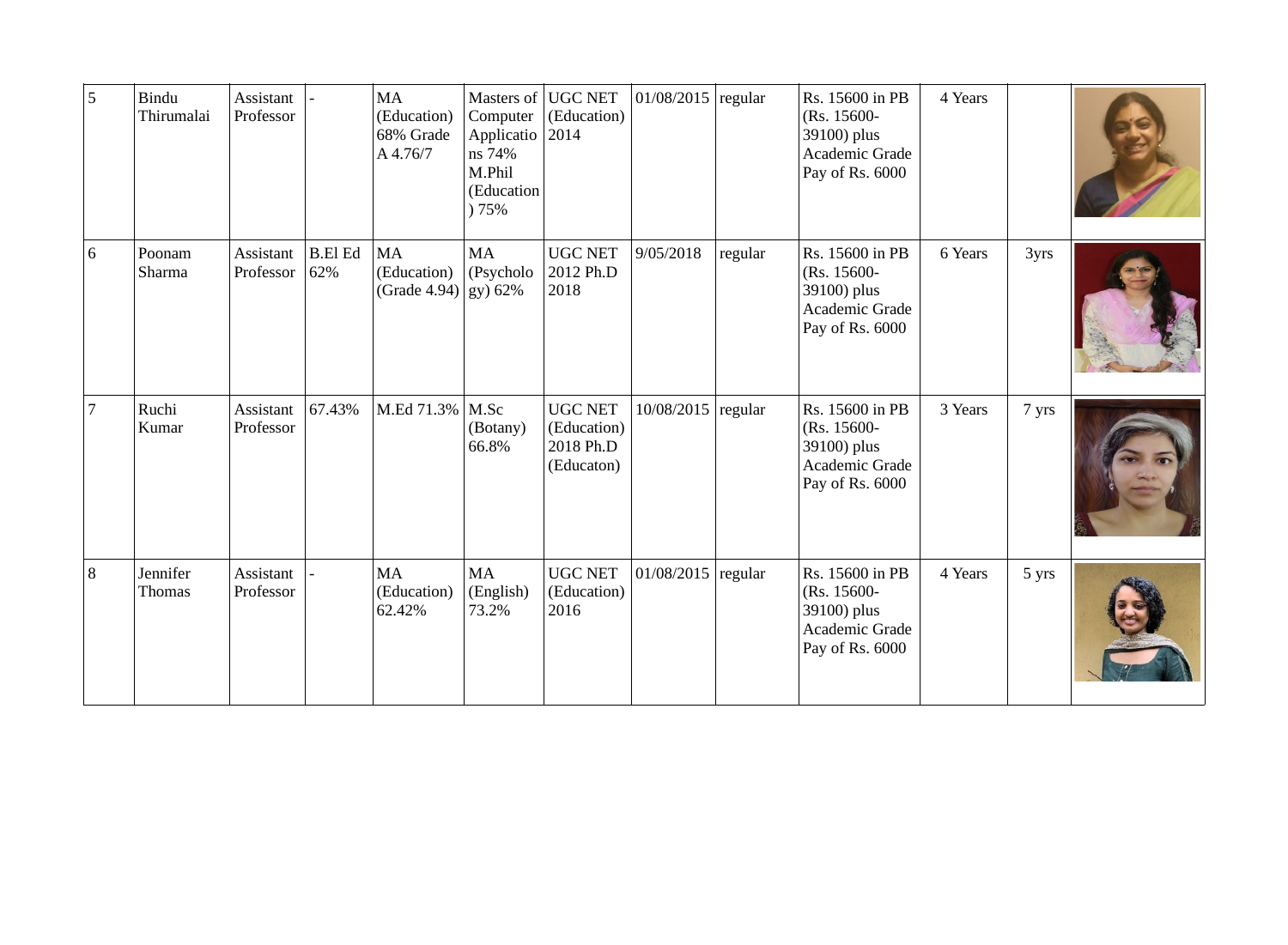| 5              | Bindu<br>Thirumalai       | Assistant<br>Professor        |                       | MA<br>(Education)<br>68% Grade<br>A 4.76/7 | Computer<br>Applicatio<br>ns 74%<br>M.Phil<br>(Education<br>75% | Masters of UGC NET<br>(Education)<br>2014                | $01/08/2015$ regular |         | Rs. 15600 in PB<br>(Rs. 15600-<br>39100) plus<br>Academic Grade<br>Pay of Rs. 6000 | 4 Years |       |  |
|----------------|---------------------------|-------------------------------|-----------------------|--------------------------------------------|-----------------------------------------------------------------|----------------------------------------------------------|----------------------|---------|------------------------------------------------------------------------------------|---------|-------|--|
| $6\,$          | Poonam<br>Sharma          | <b>Assistant</b><br>Professor | <b>B.El Ed</b><br>62% | MA<br>(Education)<br>(Grade 4.94)          | MA<br>(Psycholo<br>gy) 62%                                      | <b>UGC NET</b><br>2012 Ph.D<br>2018                      | 9/05/2018            | regular | Rs. 15600 in PB<br>(Rs. 15600-<br>39100) plus<br>Academic Grade<br>Pay of Rs. 6000 | 6 Years | 3yrs  |  |
| $\overline{7}$ | Ruchi<br>Kumar            | Assistant<br>Professor        | 67.43%                | M.Ed 71.3%   M.Sc                          | (Botany)<br>66.8%                                               | <b>UGC NET</b><br>(Education)<br>2018 Ph.D<br>(Educaton) | 10/08/2015           | regular | Rs. 15600 in PB<br>(Rs. 15600-<br>39100) plus<br>Academic Grade<br>Pay of Rs. 6000 | 3 Years | 7 yrs |  |
| $\vert 8$      | Jennifer<br><b>Thomas</b> | Assistant<br>Professor        |                       | MA<br>(Education)<br>62.42%                | MA<br>(English)<br>73.2%                                        | <b>UGC NET</b><br>(Education)<br>2016                    | $01/08/2015$ regular |         | Rs. 15600 in PB<br>(Rs. 15600-<br>39100) plus<br>Academic Grade<br>Pay of Rs. 6000 | 4 Years | 5 yrs |  |